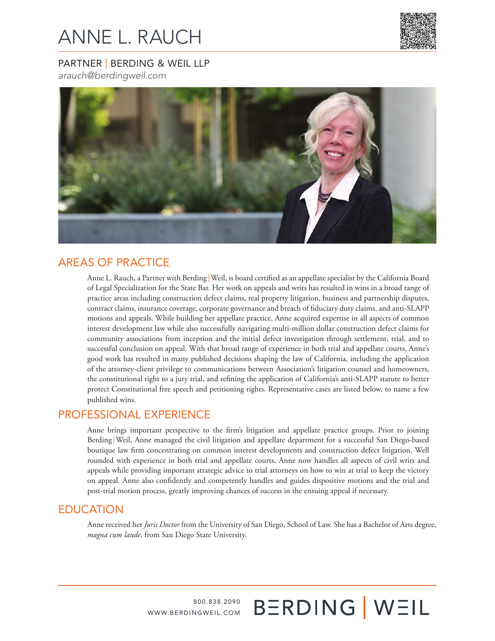# ANNE L. RAUCH



## PARTNER | BERDING & WEIL LLP

*arauch@berdingweil.com*



# AREAS OF PRACTICE

Anne L. Rauch, a Partner with Berding |Weil, is board certified as an appellate specialist by the California Board of Legal Specialization for the State Bar. Her work on appeals and writs has resulted in wins in a broad range of practice areas including construction defect claims, real property litigation, business and partnership disputes, contract claims, insurance coverage, corporate governance and breach of fiduciary duty claims, and anti-SLAPP motions and appeals. While building her appellate practice, Anne acquired expertise in all aspects of common interest development law while also successfully navigating multi-million dollar construction defect claims for community associations from inception and the initial defect investigation through settlement, trial, and to successful conclusion on appeal. With that broad range of experience in both trial and appellate courts, Anne's good work has resulted in many published decisions shaping the law of California, including the application of the attorney-client privilege to communications between Association's litigation counsel and homeowners, the constitutional right to a jury trial, and refining the application of California's anti-SLAPP statute to better protect Constitutional free speech and petitioning rights. Representative cases are listed below, to name a few published wins.

## PROFESSIONAL EXPERIENCE

Anne brings important perspective to the firm's litigation and appellate practice groups. Prior to joining Berding |Weil, Anne managed the civil litigation and appellate department for a successful San Diego-based boutique law firm concentrating on common interest developments and construction defect litigation. Well rounded with experience in both trial and appellate courts, Anne now handles all aspects of civil writs and appeals while providing important strategic advice to trial attorneys on how to win at trial to keep the victory on appeal. Anne also confidently and competently handles and guides dispositive motions and the trial and post-trial motion process, greatly improving chances of success in the ensuing appeal if necessary.

## EDUCATION

Anne received her *Juris Doctor* from the University of San Diego, School of Law. She has a Bachelor of Arts degree, *magna cum laude*, from San Diego State University.

**BERDING WEIL** 

800.838.2090 WWW.BERDINGWEIL.COM